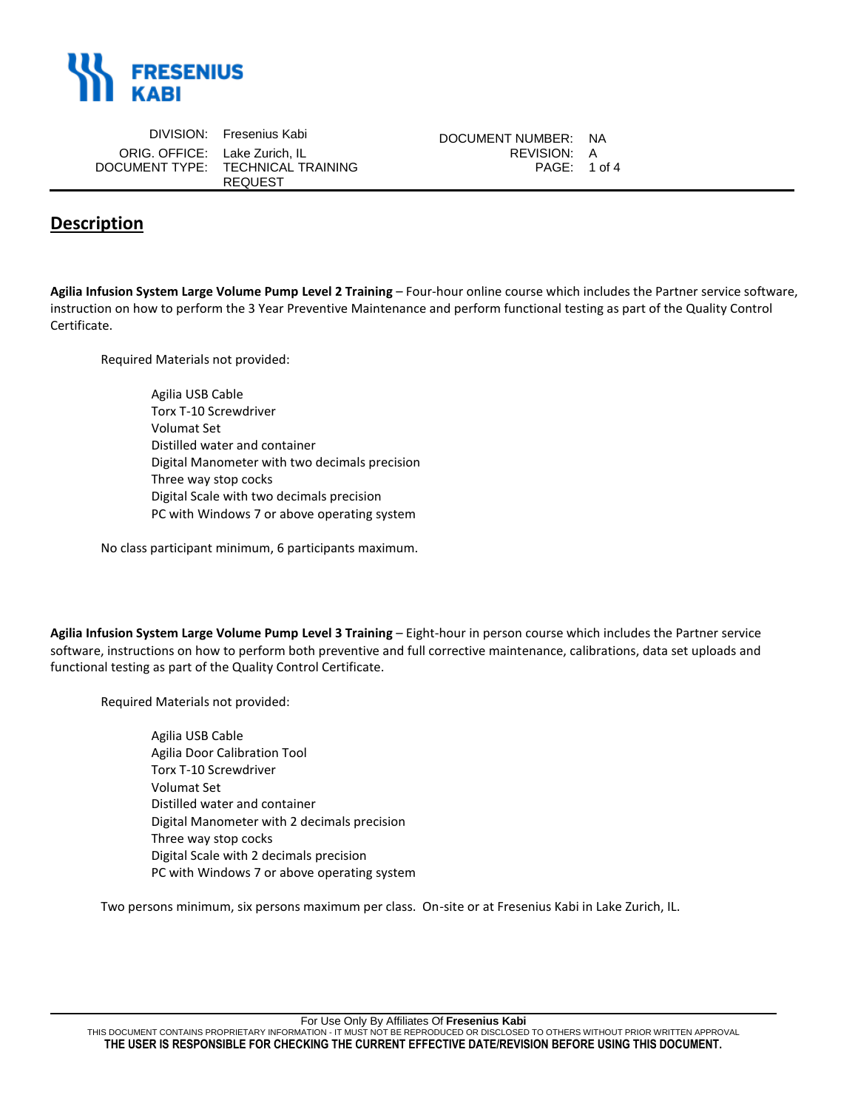

|                               | DIVISION: Fresenius Kabi          | DOCUMENT NUMBER: NA |  |
|-------------------------------|-----------------------------------|---------------------|--|
| ORIG, OFFICE: Lake Zurich, IL |                                   | REVISION: A         |  |
|                               | DOCUMENT TYPE: TECHNICAL TRAINING | PAGE: 1 of 4        |  |
|                               | <b>REQUEST</b>                    |                     |  |

## **Description**

**Agilia Infusion System Large Volume Pump Level 2 Training** – Four-hour online course which includes the Partner service software, instruction on how to perform the 3 Year Preventive Maintenance and perform functional testing as part of the Quality Control Certificate.

Required Materials not provided:

| Agilia USB Cable                              |
|-----------------------------------------------|
| Torx T-10 Screwdriver                         |
| Volumat Set                                   |
| Distilled water and container                 |
| Digital Manometer with two decimals precision |
| Three way stop cocks                          |
| Digital Scale with two decimals precision     |
| PC with Windows 7 or above operating system   |

No class participant minimum, 6 participants maximum.

**Agilia Infusion System Large Volume Pump Level 3 Training** – Eight-hour in person course which includes the Partner service software, instructions on how to perform both preventive and full corrective maintenance, calibrations, data set uploads and functional testing as part of the Quality Control Certificate.

Required Materials not provided:

Agilia USB Cable Agilia Door Calibration Tool Torx T-10 Screwdriver Volumat Set Distilled water and container Digital Manometer with 2 decimals precision Three way stop cocks Digital Scale with 2 decimals precision PC with Windows 7 or above operating system

Two persons minimum, six persons maximum per class. On-site or at Fresenius Kabi in Lake Zurich, IL.

For Use Only By Affiliates Of **Fresenius Kabi**

THIS DOCUMENT CONTAINS PROPRIETARY INFORMATION - IT MUST NOT BE REPRODUCED OR DISCLOSED TO OTHERS WITHOUT PRIOR WRITTEN APPROVAL **THE USER IS RESPONSIBLE FOR CHECKING THE CURRENT EFFECTIVE DATE/REVISION BEFORE USING THIS DOCUMENT.**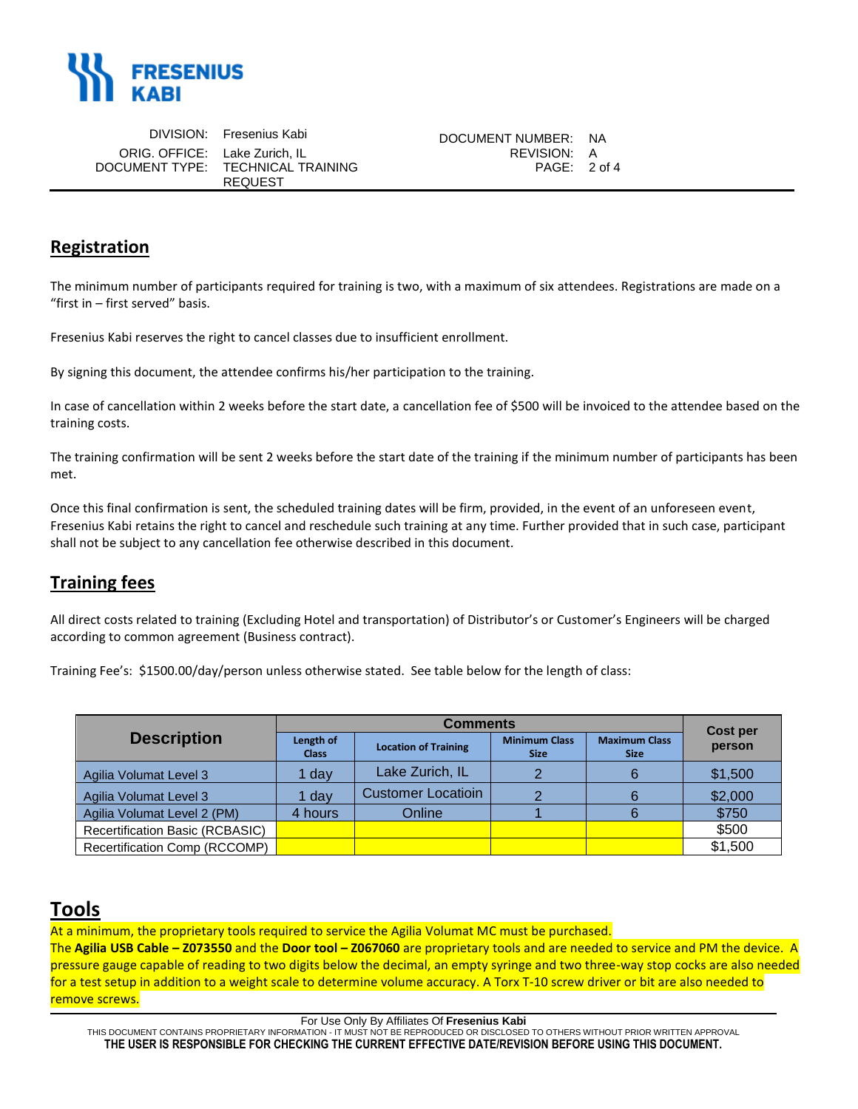

|                               | DIVISION: Fresenius Kabi          | DOCUMENT NUMBER: NA |  |
|-------------------------------|-----------------------------------|---------------------|--|
| ORIG. OFFICE: Lake Zurich. IL |                                   | REVISION: A         |  |
|                               | DOCUMENT TYPE: TECHNICAL TRAINING | PAGE: 2 of 4        |  |
|                               | REQUEST                           |                     |  |

### **Registration**

The minimum number of participants required for training is two, with a maximum of six attendees. Registrations are made on a "first in – first served" basis.

Fresenius Kabi reserves the right to cancel classes due to insufficient enrollment.

By signing this document, the attendee confirms his/her participation to the training.

In case of cancellation within 2 weeks before the start date, a cancellation fee of \$500 will be invoiced to the attendee based on the training costs.

The training confirmation will be sent 2 weeks before the start date of the training if the minimum number of participants has been met.

Once this final confirmation is sent, the scheduled training dates will be firm, provided, in the event of an unforeseen event, Fresenius Kabi retains the right to cancel and reschedule such training at any time. Further provided that in such case, participant shall not be subject to any cancellation fee otherwise described in this document.

## **Training fees**

All direct costs related to training (Excluding Hotel and transportation) of Distributor's or Customer's Engineers will be charged according to common agreement (Business contract).

Training Fee's: \$1500.00/day/person unless otherwise stated. See table below for the length of class:

|                                 | <b>Comments</b>           |                             |                                     | Cost per                            |         |
|---------------------------------|---------------------------|-----------------------------|-------------------------------------|-------------------------------------|---------|
| <b>Description</b>              | Length of<br><b>Class</b> | <b>Location of Training</b> | <b>Minimum Class</b><br><b>Size</b> | <b>Maximum Class</b><br><b>Size</b> | person  |
| Agilia Volumat Level 3          | 1 day                     | Lake Zurich, IL             | $\Omega$                            |                                     | \$1,500 |
| Agilia Volumat Level 3          | 1 day                     | <b>Customer Locatioin</b>   |                                     |                                     | \$2,000 |
| Agilia Volumat Level 2 (PM)     | 4 hours                   | Online                      |                                     |                                     | \$750   |
| Recertification Basic (RCBASIC) |                           |                             |                                     |                                     | \$500   |
| Recertification Comp (RCCOMP)   |                           |                             |                                     |                                     | \$1,500 |

# **Tools**

At a minimum, the proprietary tools required to service the Agilia Volumat MC must be purchased.

The **Agilia USB Cable – Z073550** and the **Door tool – Z067060** are proprietary tools and are needed to service and PM the device. A pressure gauge capable of reading to two digits below the decimal, an empty syringe and two three-way stop cocks are also needed for a test setup in addition to a weight scale to determine volume accuracy. A Torx T-10 screw driver or bit are also needed to remove screws.

For Use Only By Affiliates Of **Fresenius Kabi**

THIS DOCUMENT CONTAINS PROPRIETARY INFORMATION - IT MUST NOT BE REPRODUCED OR DISCLOSED TO OTHERS WITHOUT PRIOR WRITTEN APPROVAL **THE USER IS RESPONSIBLE FOR CHECKING THE CURRENT EFFECTIVE DATE/REVISION BEFORE USING THIS DOCUMENT.**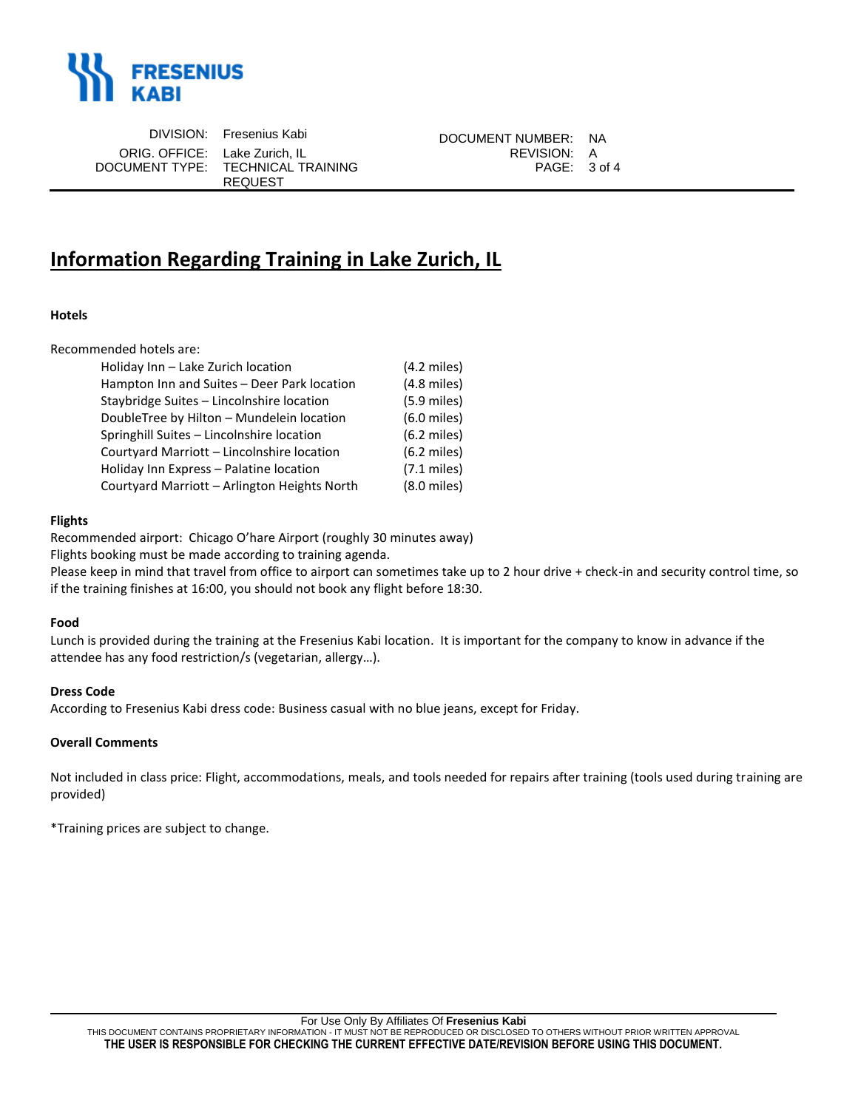

ORIG. OFFICE: Lake Zurich, IL DOCUMENT TYPE: TECHNICAL TRAINING

REQUEST

DIVISION: Fresenius Kabi DOCUMENT NUMBER: NA<br>2. OFFICE: Lake Zurich. IL PAGE: 3 of 4

# **Information Regarding Training in Lake Zurich, IL**

#### **Hotels**

Recommended hotels are:

| Holiday Inn - Lake Zurich location           | $(4.2 \text{ miles})$ |
|----------------------------------------------|-----------------------|
| Hampton Inn and Suites - Deer Park location  | $(4.8$ miles)         |
| Staybridge Suites - Lincolnshire location    | $(5.9$ miles)         |
| DoubleTree by Hilton - Mundelein location    | $(6.0$ miles)         |
| Springhill Suites - Lincolnshire location    | $(6.2$ miles)         |
| Courtyard Marriott - Lincolnshire location   | $(6.2$ miles)         |
| Holiday Inn Express - Palatine location      | $(7.1 \text{ miles})$ |
| Courtyard Marriott - Arlington Heights North | $(8.0$ miles)         |
|                                              |                       |

#### **Flights**

Recommended airport: Chicago O'hare Airport (roughly 30 minutes away)

Flights booking must be made according to training agenda.

Please keep in mind that travel from office to airport can sometimes take up to 2 hour drive + check-in and security control time, so if the training finishes at 16:00, you should not book any flight before 18:30.

#### **Food**

Lunch is provided during the training at the Fresenius Kabi location. It is important for the company to know in advance if the attendee has any food restriction/s (vegetarian, allergy…).

#### **Dress Code**

According to Fresenius Kabi dress code: Business casual with no blue jeans, except for Friday.

#### **Overall Comments**

Not included in class price: Flight, accommodations, meals, and tools needed for repairs after training (tools used during training are provided)

\*Training prices are subject to change.

THIS DOCUMENT CONTAINS PROPRIETARY INFORMATION - IT MUST NOT BE REPRODUCED OR DISCLOSED TO OTHERS WITHOUT PRIOR WRITTEN APPROVAL **THE USER IS RESPONSIBLE FOR CHECKING THE CURRENT EFFECTIVE DATE/REVISION BEFORE USING THIS DOCUMENT.**